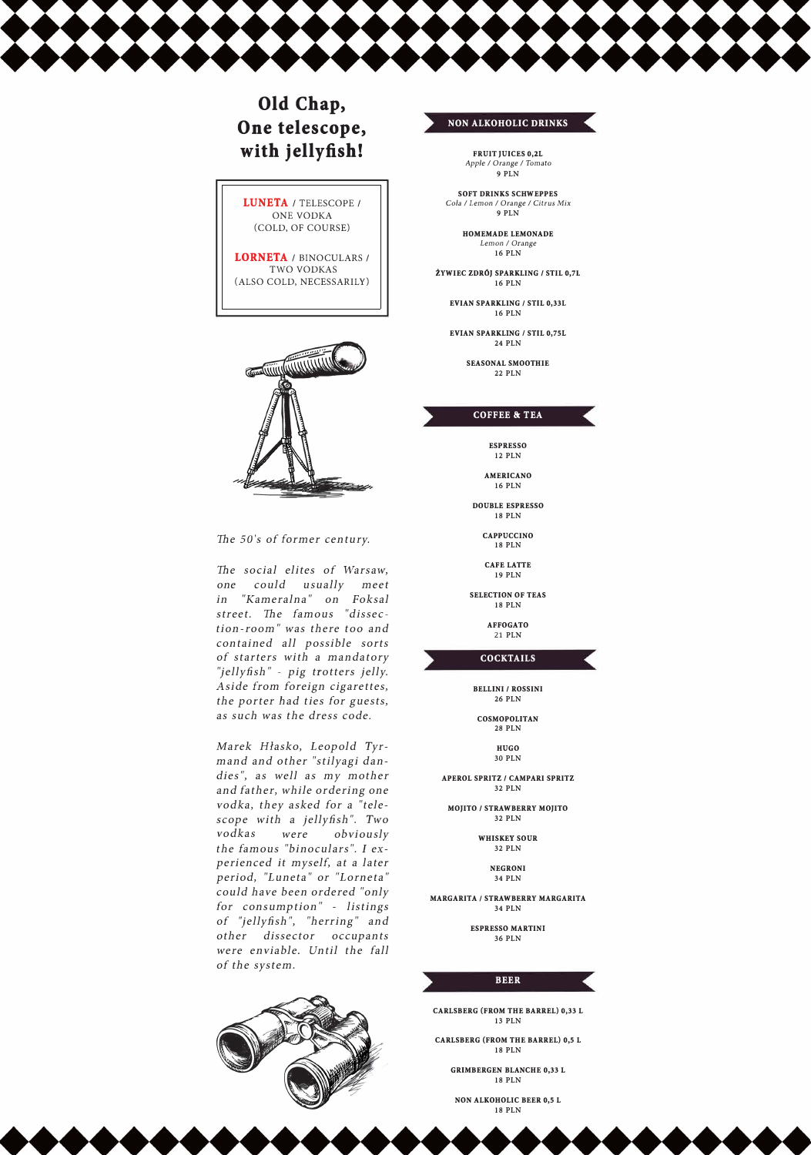

# **Old Chap, One telescope, with jellyfish!**





The *50's of farmer century.* 

The *social elites of Warsaw, one could usually meet in "Kameralna" on Foksal street.* The *famous "dissection-room" was there too and contained all possible sorts of starters with a mandatory "jellyfish"* - *pig trotters jelly. Aside Erom foreign cigarettes, the porter bad ties for guests, as such was the dress code.* 

**EVIAN SPARKLING / STIL 0,75L 24 PLN** 

*Marek Hłasko, Leopold Tyrmand and other "stilyagi dandies", as well as my mother and father, while ordering one vodka, they asked for a "telescope with a jellyfish* ". *Two vodkas were obviously the famous "binoculars". I experienced it myself, at a later period, "Luneta" or "Lorneta" could have been ordered "only for consumption"* - *listings of ''jellyfish* ", *"herring" and other dissector occupants were enviable. Until the fall of the system.* 

#### **NON ALKOHOLIC DRINKS**

**FRUIT JUICES 0,21** *Apple I Orange I Tomata*  **9 PLN** 

**SOFT DRINKS SCHWEPPES**  *Cola I Leman I Orange I Citrus Mix*  **9 PLN** 

> **HOMEMADE LEMONADE**  *Leman I Orange*  **16 PLN**

**ŻYWIEC ZDRÓJ SPARKLING / STIL 0,71 16 PLN** 

**EVIAN SPARKLING** *I* **STIL 0,331 16 PLN** 

> **SEASONAL SMOOTHIE 22 PLN**

#### **COFFEE & TEA**

**ESPRESSO 12 PLN** 

**AMERICAN O 16 PLN** 

**DOUBLE ESPRESSO 18 PLN** 

> **CAPPUCCINO 18 PLN**

**CAFE LATTE 19 PLN** 

**SELECTION OF TEAS 18 PLN** 

> **AFFOGATO**  21 **PLN**

**COCKTAILS** 

**BELLINI / ROSSINI 26 PLN** 

**COSMOPOLITAN 28 PLN** 

> **HUGO 30 PLN**

**APEROL SPRITZ / CAMPARI SPRITZ 32 PLN** 

**MOJITO / STRAWBERRY MOJITO 32 PLN** 

> **WHISKEY SOUR 32 PLN**

**NEGRONI** 

**34 PLN** 

**MARGARITA** *I* **STRAWBERRY MARGARITA 34 PLN** 

> **ESPRESSO MARTINI 36 PLN**



**CARLSBERG (FROM THE BARREL) 0,33 L 13 PLN** 

**CARLSBERG (FROM THE BARREL) 0,5 L 18 PLN** 

> **GRIMBERGEN BLANCHE 0,33 L 18 PLN**

**NON ALKOHOLIC BEER 0,5 L 18 PLN** 

K

 $\bullet \bullet \bullet \bullet \bullet \bullet \bullet$ 

 $\bullet\bullet\bullet\bullet$ 



 $\begin{picture}(180,10) \put(0,0){\line(1,0){10}} \put(10,0){\line(1,0){10}} \put(10,0){\line(1,0){10}} \put(10,0){\line(1,0){10}} \put(10,0){\line(1,0){10}} \put(10,0){\line(1,0){10}} \put(10,0){\line(1,0){10}} \put(10,0){\line(1,0){10}} \put(10,0){\line(1,0){10}} \put(10,0){\line(1,0){10}} \put(10,0){\line(1,0){10}} \put(10,0){\line($